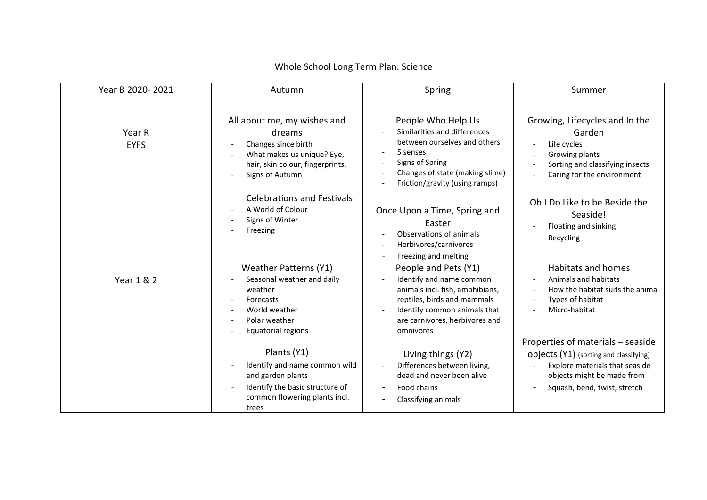| Year B 2020-2021      | Autumn                                                                                                                                            | Spring                                                                                                                                                                                            | Summer                                                                                                                                                                      |
|-----------------------|---------------------------------------------------------------------------------------------------------------------------------------------------|---------------------------------------------------------------------------------------------------------------------------------------------------------------------------------------------------|-----------------------------------------------------------------------------------------------------------------------------------------------------------------------------|
| Year R<br><b>EYFS</b> | All about me, my wishes and<br>dreams<br>Changes since birth<br>What makes us unique? Eye,<br>hair, skin colour, fingerprints.<br>Signs of Autumn | People Who Help Us<br>Similarities and differences<br>between ourselves and others<br>5 senses<br>Signs of Spring<br>Changes of state (making slime)<br>Friction/gravity (using ramps)            | Growing, Lifecycles and In the<br>Garden<br>Life cycles<br>Growing plants<br>Sorting and classifying insects<br>Caring for the environment                                  |
|                       | <b>Celebrations and Festivals</b><br>A World of Colour<br>Signs of Winter<br>Freezing                                                             | Once Upon a Time, Spring and<br>Easter<br>Observations of animals<br>Herbivores/carnivores<br>Freezing and melting                                                                                | Oh I Do Like to be Beside the<br>Seaside!<br>Floating and sinking<br>Recycling                                                                                              |
| Year 1 & 2            | <b>Weather Patterns (Y1)</b><br>Seasonal weather and daily<br>weather<br>Forecasts<br>World weather<br>Polar weather<br>Equatorial regions        | People and Pets (Y1)<br>Identify and name common<br>animals incl. fish, amphibians,<br>reptiles, birds and mammals<br>Identify common animals that<br>are carnivores, herbivores and<br>omnivores | Habitats and homes<br>Animals and habitats<br>How the habitat suits the animal<br>Types of habitat<br>Micro-habitat                                                         |
|                       | Plants (Y1)<br>Identify and name common wild<br>and garden plants<br>Identify the basic structure of<br>common flowering plants incl.<br>trees    | Living things (Y2)<br>Differences between living,<br>dead and never been alive<br>Food chains<br>Classifying animals                                                                              | Properties of materials - seaside<br>objects (Y1) (sorting and classifying)<br>Explore materials that seaside<br>objects might be made from<br>Squash, bend, twist, stretch |

## Whole School Long Term Plan: Science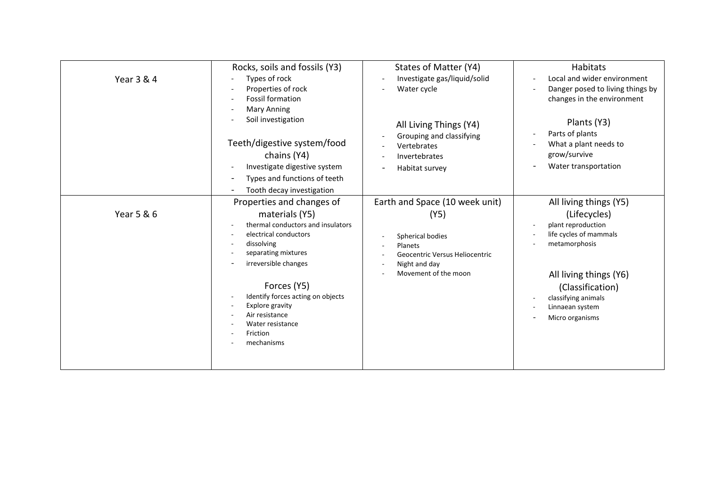| Year 3 & 4 | Rocks, soils and fossils (Y3)<br>Types of rock<br>Properties of rock<br><b>Fossil formation</b><br><b>Mary Anning</b><br>Soil investigation<br>Teeth/digestive system/food<br>chains (Y4)<br>Investigate digestive system<br>Types and functions of teeth<br>Tooth decay investigation                        | States of Matter (Y4)<br>Investigate gas/liquid/solid<br>Water cycle<br>All Living Things (Y4)<br>Grouping and classifying<br>Vertebrates<br>Invertebrates<br>Habitat survey | Habitats<br>Local and wider environment<br>$\overline{\phantom{a}}$<br>Danger posed to living things by<br>changes in the environment<br>Plants (Y3)<br>Parts of plants<br>$\overline{a}$<br>What a plant needs to<br>grow/survive<br>Water transportation |
|------------|---------------------------------------------------------------------------------------------------------------------------------------------------------------------------------------------------------------------------------------------------------------------------------------------------------------|------------------------------------------------------------------------------------------------------------------------------------------------------------------------------|------------------------------------------------------------------------------------------------------------------------------------------------------------------------------------------------------------------------------------------------------------|
| Year 5 & 6 | Properties and changes of<br>materials (Y5)<br>thermal conductors and insulators<br>electrical conductors<br>dissolving<br>separating mixtures<br>irreversible changes<br>Forces (Y5)<br>Identify forces acting on objects<br>Explore gravity<br>Air resistance<br>Water resistance<br>Friction<br>mechanisms | Earth and Space (10 week unit)<br>(Y5)<br>Spherical bodies<br>Planets<br>Geocentric Versus Heliocentric<br>Night and day<br>Movement of the moon                             | All living things (Y5)<br>(Lifecycles)<br>plant reproduction<br>life cycles of mammals<br>metamorphosis<br>All living things (Y6)<br>(Classification)<br>classifying animals<br>$\sim$<br>Linnaean system<br>Micro organisms                               |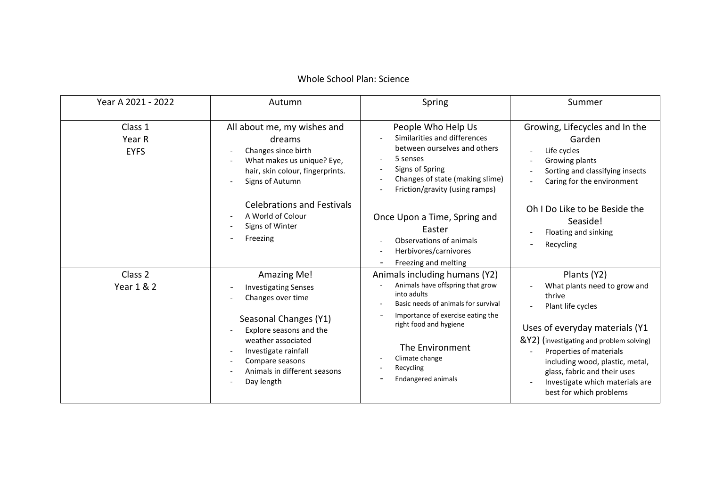## Whole School Plan: Science

| Year A 2021 - 2022               | Autumn                                                                                                                                                                                                                                                         | Spring                                                                                                                                                                                                                                                                | Summer                                                                                                                                                                                                                                                                                                               |
|----------------------------------|----------------------------------------------------------------------------------------------------------------------------------------------------------------------------------------------------------------------------------------------------------------|-----------------------------------------------------------------------------------------------------------------------------------------------------------------------------------------------------------------------------------------------------------------------|----------------------------------------------------------------------------------------------------------------------------------------------------------------------------------------------------------------------------------------------------------------------------------------------------------------------|
| Class 1<br>Year R<br><b>EYFS</b> | All about me, my wishes and<br>dreams<br>Changes since birth<br>What makes us unique? Eye,<br>$\overline{\phantom{a}}$<br>hair, skin colour, fingerprints.<br>Signs of Autumn<br><b>Celebrations and Festivals</b>                                             | People Who Help Us<br>Similarities and differences<br>between ourselves and others<br>5 senses<br>Signs of Spring<br>Changes of state (making slime)<br>Friction/gravity (using ramps)                                                                                | Growing, Lifecycles and In the<br>Garden<br>Life cycles<br>Growing plants<br>Sorting and classifying insects<br>Caring for the environment                                                                                                                                                                           |
|                                  | A World of Colour<br>Signs of Winter<br>Freezing                                                                                                                                                                                                               | Once Upon a Time, Spring and<br>Easter<br>Observations of animals<br>Herbivores/carnivores<br>Freezing and melting                                                                                                                                                    | Oh I Do Like to be Beside the<br>Seaside!<br>Floating and sinking<br>Recycling<br>$\overline{\phantom{0}}$                                                                                                                                                                                                           |
| Class 2<br>Year 1 & 2            | Amazing Me!<br><b>Investigating Senses</b><br>Changes over time<br>Seasonal Changes (Y1)<br>Explore seasons and the<br>weather associated<br>Investigate rainfall<br>$\overline{\phantom{a}}$<br>Compare seasons<br>Animals in different seasons<br>Day length | Animals including humans (Y2)<br>Animals have offspring that grow<br>into adults<br>Basic needs of animals for survival<br>Importance of exercise eating the<br>right food and hygiene<br>The Environment<br>Climate change<br>Recycling<br><b>Endangered animals</b> | Plants (Y2)<br>What plants need to grow and<br>thrive<br>Plant life cycles<br>Uses of everyday materials (Y1<br>&Y2) (investigating and problem solving)<br>Properties of materials<br>including wood, plastic, metal,<br>glass, fabric and their uses<br>Investigate which materials are<br>best for which problems |